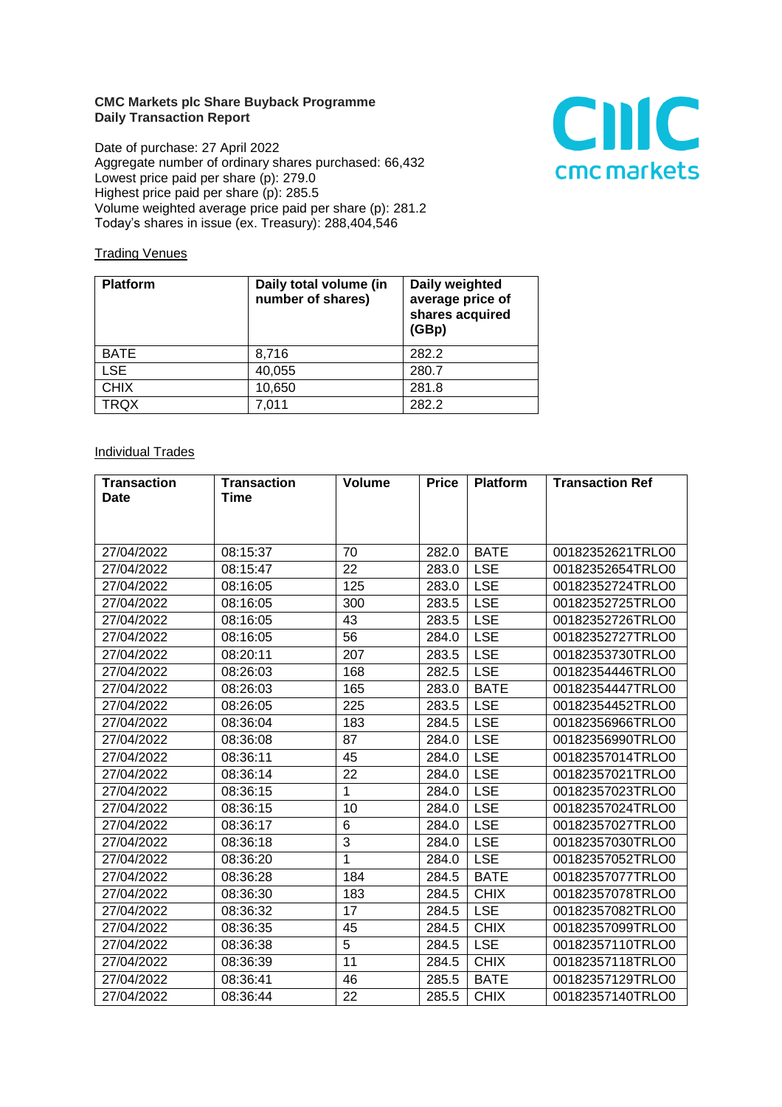## **CMC Markets plc Share Buyback Programme Daily Transaction Report**

Date of purchase: 27 April 2022 Aggregate number of ordinary shares purchased: 66,432 Lowest price paid per share (p): 279.0 Highest price paid per share (p): 285.5 Volume weighted average price paid per share (p): 281.2 Today's shares in issue (ex. Treasury): 288,404,546



## **Trading Venues**

| <b>Platform</b> | Daily total volume (in<br>number of shares) | Daily weighted<br>average price of<br>shares acquired<br>(GBp) |
|-----------------|---------------------------------------------|----------------------------------------------------------------|
| <b>BATE</b>     | 8,716                                       | 282.2                                                          |
| <b>LSE</b>      | 40,055                                      | 280.7                                                          |
| <b>CHIX</b>     | 10,650                                      | 281.8                                                          |
| <b>TRQX</b>     | 7,011                                       | 282.2                                                          |

## **Individual Trades**

| <b>Transaction</b> | <b>Transaction</b> | <b>Volume</b> | <b>Price</b> | <b>Platform</b> | <b>Transaction Ref</b> |
|--------------------|--------------------|---------------|--------------|-----------------|------------------------|
| <b>Date</b>        | Time               |               |              |                 |                        |
|                    |                    |               |              |                 |                        |
|                    |                    |               |              |                 |                        |
| 27/04/2022         | 08:15:37           | 70            | 282.0        | <b>BATE</b>     | 00182352621TRLO0       |
| 27/04/2022         | 08:15:47           | 22            | 283.0        | <b>LSE</b>      | 00182352654TRLO0       |
| 27/04/2022         | 08:16:05           | 125           | 283.0        | <b>LSE</b>      | 00182352724TRLO0       |
| 27/04/2022         | 08:16:05           | 300           | 283.5        | <b>LSE</b>      | 00182352725TRLO0       |
| 27/04/2022         | 08:16:05           | 43            | 283.5        | <b>LSE</b>      | 00182352726TRLO0       |
| 27/04/2022         | 08:16:05           | 56            | 284.0        | <b>LSE</b>      | 00182352727TRLO0       |
| 27/04/2022         | 08:20:11           | 207           | 283.5        | <b>LSE</b>      | 00182353730TRLO0       |
| 27/04/2022         | 08:26:03           | 168           | 282.5        | <b>LSE</b>      | 00182354446TRLO0       |
| 27/04/2022         | 08:26:03           | 165           | 283.0        | <b>BATE</b>     | 00182354447TRLO0       |
| 27/04/2022         | 08:26:05           | 225           | 283.5        | <b>LSE</b>      | 00182354452TRLO0       |
| 27/04/2022         | 08:36:04           | 183           | 284.5        | <b>LSE</b>      | 00182356966TRLO0       |
| 27/04/2022         | 08:36:08           | 87            | 284.0        | <b>LSE</b>      | 00182356990TRLO0       |
| 27/04/2022         | 08:36:11           | 45            | 284.0        | <b>LSE</b>      | 00182357014TRLO0       |
| 27/04/2022         | 08:36:14           | 22            | 284.0        | <b>LSE</b>      | 00182357021TRLO0       |
| 27/04/2022         | 08:36:15           | $\mathbf{1}$  | 284.0        | <b>LSE</b>      | 00182357023TRLO0       |
| 27/04/2022         | 08:36:15           | 10            | 284.0        | <b>LSE</b>      | 00182357024TRLO0       |
| 27/04/2022         | 08:36:17           | 6             | 284.0        | <b>LSE</b>      | 00182357027TRLO0       |
| 27/04/2022         | 08:36:18           | 3             | 284.0        | <b>LSE</b>      | 00182357030TRLO0       |
| 27/04/2022         | 08:36:20           | 1             | 284.0        | <b>LSE</b>      | 00182357052TRLO0       |
| 27/04/2022         | 08:36:28           | 184           | 284.5        | <b>BATE</b>     | 00182357077TRLO0       |
| 27/04/2022         | 08:36:30           | 183           | 284.5        | <b>CHIX</b>     | 00182357078TRLO0       |
| 27/04/2022         | 08:36:32           | 17            | 284.5        | <b>LSE</b>      | 00182357082TRLO0       |
| 27/04/2022         | 08:36:35           | 45            | 284.5        | <b>CHIX</b>     | 00182357099TRLO0       |
| 27/04/2022         | 08:36:38           | 5             | 284.5        | <b>LSE</b>      | 00182357110TRLO0       |
| 27/04/2022         | 08:36:39           | 11            | 284.5        | <b>CHIX</b>     | 00182357118TRLO0       |
| 27/04/2022         | 08:36:41           | 46            | 285.5        | <b>BATE</b>     | 00182357129TRLO0       |
| 27/04/2022         | 08:36:44           | 22            | 285.5        | <b>CHIX</b>     | 00182357140TRLO0       |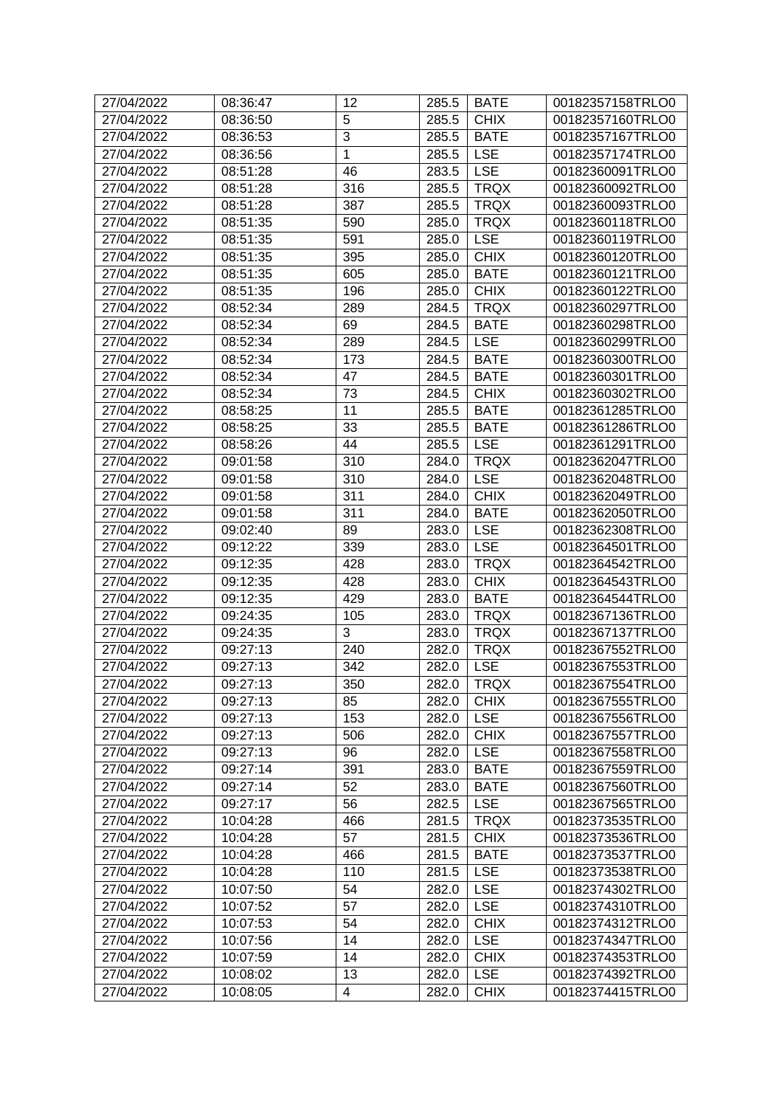| 27/04/2022 | 08:36:47 | 12             | 285.5 | <b>BATE</b> | 00182357158TRLO0 |
|------------|----------|----------------|-------|-------------|------------------|
| 27/04/2022 | 08:36:50 | 5              | 285.5 | <b>CHIX</b> | 00182357160TRLO0 |
| 27/04/2022 | 08:36:53 | $\overline{3}$ | 285.5 | <b>BATE</b> | 00182357167TRLO0 |
| 27/04/2022 | 08:36:56 | 1              | 285.5 | <b>LSE</b>  | 00182357174TRLO0 |
| 27/04/2022 | 08:51:28 | 46             | 283.5 | <b>LSE</b>  | 00182360091TRLO0 |
| 27/04/2022 | 08:51:28 | 316            | 285.5 | <b>TRQX</b> | 00182360092TRLO0 |
| 27/04/2022 | 08:51:28 | 387            | 285.5 | <b>TRQX</b> | 00182360093TRLO0 |
| 27/04/2022 | 08:51:35 | 590            | 285.0 | <b>TRQX</b> | 00182360118TRLO0 |
| 27/04/2022 | 08:51:35 | 591            | 285.0 | <b>LSE</b>  | 00182360119TRLO0 |
| 27/04/2022 | 08:51:35 | 395            | 285.0 | <b>CHIX</b> | 00182360120TRLO0 |
| 27/04/2022 | 08:51:35 | 605            | 285.0 | <b>BATE</b> | 00182360121TRLO0 |
| 27/04/2022 | 08:51:35 | 196            | 285.0 | <b>CHIX</b> | 00182360122TRLO0 |
| 27/04/2022 | 08:52:34 | 289            | 284.5 | <b>TRQX</b> | 00182360297TRLO0 |
| 27/04/2022 | 08:52:34 | 69             | 284.5 | <b>BATE</b> | 00182360298TRLO0 |
| 27/04/2022 | 08:52:34 | 289            | 284.5 | <b>LSE</b>  | 00182360299TRLO0 |
| 27/04/2022 | 08:52:34 | 173            | 284.5 | <b>BATE</b> | 00182360300TRLO0 |
| 27/04/2022 | 08:52:34 | 47             | 284.5 | <b>BATE</b> | 00182360301TRLO0 |
| 27/04/2022 | 08:52:34 | 73             | 284.5 | <b>CHIX</b> | 00182360302TRLO0 |
| 27/04/2022 | 08:58:25 | 11             | 285.5 | <b>BATE</b> | 00182361285TRLO0 |
| 27/04/2022 | 08:58:25 | 33             | 285.5 | <b>BATE</b> | 00182361286TRLO0 |
| 27/04/2022 | 08:58:26 | 44             | 285.5 | <b>LSE</b>  | 00182361291TRLO0 |
| 27/04/2022 | 09:01:58 | 310            | 284.0 | <b>TRQX</b> | 00182362047TRLO0 |
| 27/04/2022 | 09:01:58 | 310            | 284.0 | <b>LSE</b>  | 00182362048TRLO0 |
| 27/04/2022 | 09:01:58 | 311            | 284.0 | <b>CHIX</b> | 00182362049TRLO0 |
| 27/04/2022 | 09:01:58 | 311            | 284.0 | <b>BATE</b> | 00182362050TRLO0 |
| 27/04/2022 | 09:02:40 | 89             | 283.0 | <b>LSE</b>  | 00182362308TRLO0 |
| 27/04/2022 | 09:12:22 | 339            | 283.0 | <b>LSE</b>  | 00182364501TRLO0 |
| 27/04/2022 | 09:12:35 | 428            | 283.0 | <b>TRQX</b> | 00182364542TRLO0 |
| 27/04/2022 | 09:12:35 | 428            | 283.0 | <b>CHIX</b> | 00182364543TRLO0 |
| 27/04/2022 | 09:12:35 | 429            | 283.0 | <b>BATE</b> | 00182364544TRLO0 |
| 27/04/2022 | 09:24:35 | 105            | 283.0 | <b>TRQX</b> | 00182367136TRLO0 |
| 27/04/2022 | 09:24:35 | 3              | 283.0 | <b>TRQX</b> | 00182367137TRLO0 |
| 27/04/2022 | 09:27:13 | 240            | 282.0 | <b>TRQX</b> | 00182367552TRLO0 |
| 27/04/2022 | 09:27:13 | 342            | 282.0 | <b>LSE</b>  | 00182367553TRLO0 |
| 27/04/2022 | 09:27:13 | 350            |       | 282.0 TRQX  | 00182367554TRLO0 |
| 27/04/2022 | 09:27:13 | 85             | 282.0 | <b>CHIX</b> | 00182367555TRLO0 |
| 27/04/2022 | 09:27:13 | 153            | 282.0 | <b>LSE</b>  | 00182367556TRLO0 |
| 27/04/2022 | 09:27:13 | 506            | 282.0 | <b>CHIX</b> | 00182367557TRLO0 |
| 27/04/2022 | 09:27:13 | 96             | 282.0 | <b>LSE</b>  | 00182367558TRLO0 |
| 27/04/2022 | 09:27:14 | 391            | 283.0 | <b>BATE</b> | 00182367559TRLO0 |
| 27/04/2022 | 09:27:14 | 52             | 283.0 | <b>BATE</b> | 00182367560TRLO0 |
| 27/04/2022 | 09:27:17 | 56             | 282.5 | <b>LSE</b>  | 00182367565TRLO0 |
| 27/04/2022 | 10:04:28 | 466            | 281.5 | <b>TRQX</b> | 00182373535TRLO0 |
| 27/04/2022 | 10:04:28 | 57             | 281.5 | <b>CHIX</b> | 00182373536TRLO0 |
| 27/04/2022 | 10:04:28 | 466            | 281.5 | <b>BATE</b> | 00182373537TRLO0 |
| 27/04/2022 | 10:04:28 | 110            | 281.5 | <b>LSE</b>  | 00182373538TRLO0 |
| 27/04/2022 | 10:07:50 | 54             | 282.0 | <b>LSE</b>  | 00182374302TRLO0 |
| 27/04/2022 | 10:07:52 | 57             | 282.0 | <b>LSE</b>  | 00182374310TRLO0 |
| 27/04/2022 | 10:07:53 | 54             | 282.0 | <b>CHIX</b> | 00182374312TRLO0 |
| 27/04/2022 | 10:07:56 | 14             | 282.0 | <b>LSE</b>  | 00182374347TRLO0 |
| 27/04/2022 | 10:07:59 | 14             | 282.0 | <b>CHIX</b> | 00182374353TRLO0 |
| 27/04/2022 | 10:08:02 | 13             | 282.0 | <b>LSE</b>  | 00182374392TRLO0 |
| 27/04/2022 | 10:08:05 | $\overline{4}$ | 282.0 | <b>CHIX</b> | 00182374415TRLO0 |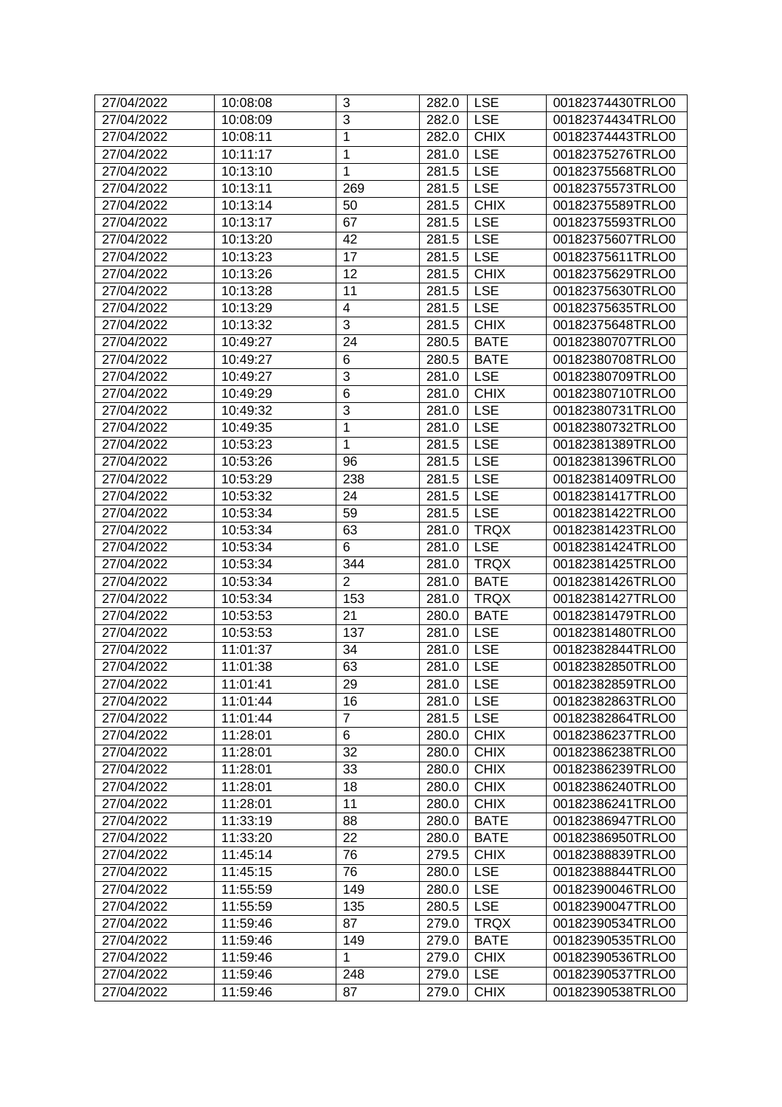| 27/04/2022 | 10:08:08 | 3                       | 282.0     | <b>LSE</b>  | 00182374430TRLO0 |
|------------|----------|-------------------------|-----------|-------------|------------------|
| 27/04/2022 | 10:08:09 | 3                       | 282.0     | <b>LSE</b>  | 00182374434TRLO0 |
| 27/04/2022 | 10:08:11 | 1                       | 282.0     | <b>CHIX</b> | 00182374443TRLO0 |
| 27/04/2022 | 10:11:17 | 1                       | 281.0     | <b>LSE</b>  | 00182375276TRLO0 |
| 27/04/2022 | 10:13:10 | 1                       | 281.5     | <b>LSE</b>  | 00182375568TRLO0 |
| 27/04/2022 | 10:13:11 | 269                     | 281.5     | <b>LSE</b>  | 00182375573TRLO0 |
| 27/04/2022 | 10:13:14 | 50                      | 281.5     | <b>CHIX</b> | 00182375589TRLO0 |
| 27/04/2022 | 10:13:17 | 67                      | 281.5     | <b>LSE</b>  | 00182375593TRLO0 |
| 27/04/2022 | 10:13:20 | 42                      | 281.5     | <b>LSE</b>  | 00182375607TRLO0 |
| 27/04/2022 | 10:13:23 | 17                      | 281.5     | <b>LSE</b>  | 00182375611TRLO0 |
| 27/04/2022 | 10:13:26 | 12                      | 281.5     | <b>CHIX</b> | 00182375629TRLO0 |
| 27/04/2022 | 10:13:28 | 11                      | 281.5     | <b>LSE</b>  | 00182375630TRLO0 |
| 27/04/2022 | 10:13:29 | $\overline{\mathbf{4}}$ | 281.5     | <b>LSE</b>  | 00182375635TRLO0 |
| 27/04/2022 | 10:13:32 | 3                       | 281.5     | <b>CHIX</b> | 00182375648TRLO0 |
| 27/04/2022 | 10:49:27 | 24                      | 280.5     | <b>BATE</b> | 00182380707TRLO0 |
| 27/04/2022 | 10:49:27 | 6                       | 280.5     | <b>BATE</b> | 00182380708TRLO0 |
| 27/04/2022 | 10:49:27 | 3                       | 281.0     | <b>LSE</b>  | 00182380709TRLO0 |
| 27/04/2022 | 10:49:29 | 6                       | 281.0     | <b>CHIX</b> | 00182380710TRLO0 |
| 27/04/2022 | 10:49:32 | $\overline{3}$          | 281.0     | <b>LSE</b>  | 00182380731TRLO0 |
| 27/04/2022 | 10:49:35 | 1                       | 281.0     | <b>LSE</b>  | 00182380732TRLO0 |
| 27/04/2022 | 10:53:23 | 1                       | 281.5     | <b>LSE</b>  | 00182381389TRLO0 |
| 27/04/2022 | 10:53:26 | 96                      | 281.5     | <b>LSE</b>  | 00182381396TRLO0 |
| 27/04/2022 | 10:53:29 | 238                     | 281.5     | <b>LSE</b>  | 00182381409TRLO0 |
| 27/04/2022 | 10:53:32 | 24                      | 281.5     | <b>LSE</b>  | 00182381417TRLO0 |
| 27/04/2022 | 10:53:34 | 59                      | 281.5     | <b>LSE</b>  | 00182381422TRLO0 |
| 27/04/2022 | 10:53:34 | 63                      | 281.0     | <b>TRQX</b> | 00182381423TRLO0 |
| 27/04/2022 | 10:53:34 | 6                       | 281.0     | <b>LSE</b>  | 00182381424TRLO0 |
| 27/04/2022 | 10:53:34 | 344                     | 281.0     | <b>TRQX</b> | 00182381425TRLO0 |
| 27/04/2022 | 10:53:34 | $\overline{2}$          | 281.0     | <b>BATE</b> | 00182381426TRLO0 |
| 27/04/2022 | 10:53:34 | 153                     | 281.0     | <b>TRQX</b> | 00182381427TRLO0 |
| 27/04/2022 | 10:53:53 | 21                      | 280.0     | <b>BATE</b> | 00182381479TRLO0 |
| 27/04/2022 | 10:53:53 | 137                     | 281.0     | <b>LSE</b>  | 00182381480TRLO0 |
| 27/04/2022 | 11:01:37 | 34                      | 281.0     | <b>LSE</b>  | 00182382844TRLO0 |
| 27/04/2022 | 11:01:38 | 63                      | 281.0     | <b>LSE</b>  | 00182382850TRLO0 |
| 27/04/2022 | 11:01:41 | 29                      | 281.0 LSE |             | 00182382859TRLO0 |
| 27/04/2022 | 11:01:44 | 16                      | 281.0     | <b>LSE</b>  | 00182382863TRLO0 |
| 27/04/2022 | 11:01:44 | 7                       | 281.5     | <b>LSE</b>  | 00182382864TRLO0 |
| 27/04/2022 | 11:28:01 | 6                       | 280.0     | <b>CHIX</b> | 00182386237TRLO0 |
| 27/04/2022 | 11:28:01 | 32                      | 280.0     | <b>CHIX</b> | 00182386238TRLO0 |
| 27/04/2022 | 11:28:01 | 33                      | 280.0     | <b>CHIX</b> | 00182386239TRLO0 |
| 27/04/2022 | 11:28:01 | 18                      | 280.0     | <b>CHIX</b> | 00182386240TRLO0 |
| 27/04/2022 | 11:28:01 | 11                      | 280.0     | <b>CHIX</b> | 00182386241TRLO0 |
| 27/04/2022 | 11:33:19 | 88                      | 280.0     | <b>BATE</b> | 00182386947TRLO0 |
| 27/04/2022 | 11:33:20 | 22                      | 280.0     | <b>BATE</b> | 00182386950TRLO0 |
| 27/04/2022 | 11:45:14 | 76                      | 279.5     | <b>CHIX</b> | 00182388839TRLO0 |
| 27/04/2022 | 11:45:15 | 76                      | 280.0     | <b>LSE</b>  | 00182388844TRLO0 |
| 27/04/2022 | 11:55:59 | 149                     | 280.0     | <b>LSE</b>  | 00182390046TRLO0 |
| 27/04/2022 | 11:55:59 | 135                     | 280.5     | <b>LSE</b>  | 00182390047TRLO0 |
| 27/04/2022 | 11:59:46 | 87                      | 279.0     | <b>TRQX</b> | 00182390534TRLO0 |
| 27/04/2022 | 11:59:46 | 149                     | 279.0     | <b>BATE</b> | 00182390535TRLO0 |
| 27/04/2022 | 11:59:46 | 1                       | 279.0     | <b>CHIX</b> | 00182390536TRLO0 |
| 27/04/2022 | 11:59:46 | 248                     | 279.0     | <b>LSE</b>  | 00182390537TRLO0 |
| 27/04/2022 | 11:59:46 | 87                      | 279.0     | <b>CHIX</b> | 00182390538TRLO0 |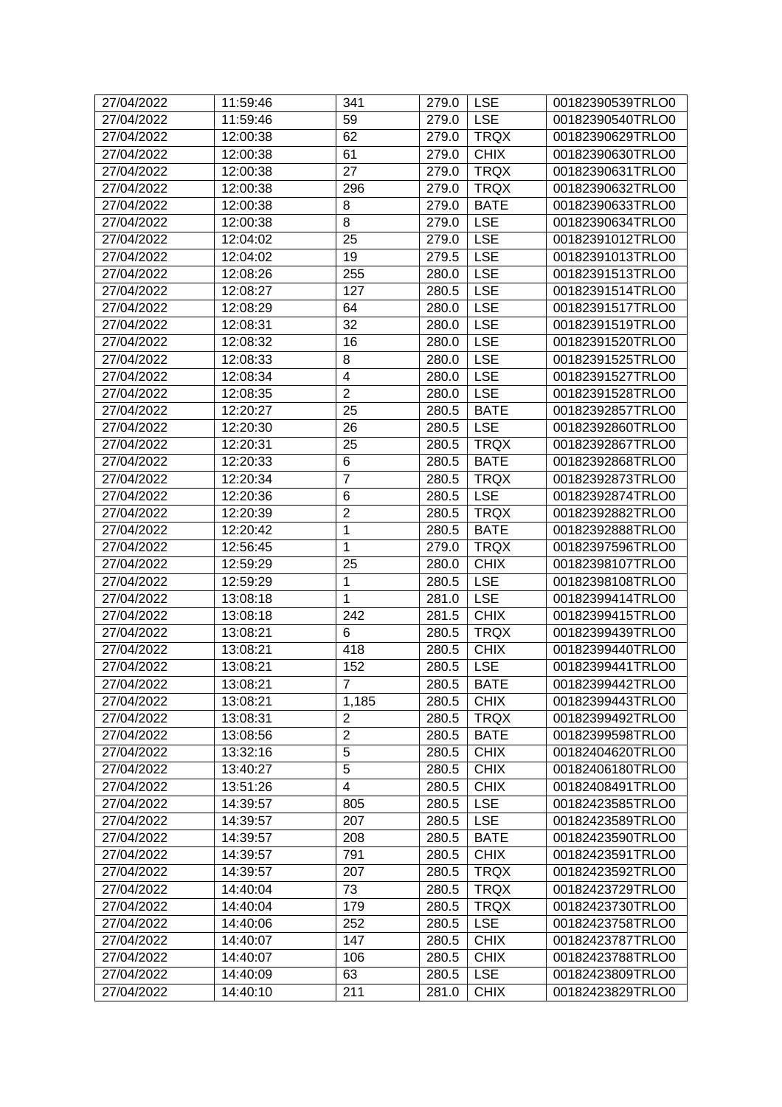| 27/04/2022 | 11:59:46 | 341                     | 279.0 | <b>LSE</b>   | 00182390539TRLO0 |
|------------|----------|-------------------------|-------|--------------|------------------|
| 27/04/2022 | 11:59:46 | 59                      | 279.0 | <b>LSE</b>   | 00182390540TRLO0 |
| 27/04/2022 | 12:00:38 | 62                      | 279.0 | <b>TRQX</b>  | 00182390629TRLO0 |
| 27/04/2022 | 12:00:38 | 61                      | 279.0 | <b>CHIX</b>  | 00182390630TRLO0 |
| 27/04/2022 | 12:00:38 | 27                      | 279.0 | <b>TRQX</b>  | 00182390631TRLO0 |
| 27/04/2022 | 12:00:38 | 296                     | 279.0 | <b>TRQX</b>  | 00182390632TRLO0 |
| 27/04/2022 | 12:00:38 | 8                       | 279.0 | <b>BATE</b>  | 00182390633TRLO0 |
| 27/04/2022 | 12:00:38 | 8                       | 279.0 | <b>LSE</b>   | 00182390634TRLO0 |
| 27/04/2022 | 12:04:02 | 25                      | 279.0 | <b>LSE</b>   | 00182391012TRLO0 |
| 27/04/2022 | 12:04:02 | 19                      | 279.5 | <b>LSE</b>   | 00182391013TRLO0 |
| 27/04/2022 | 12:08:26 | 255                     | 280.0 | <b>LSE</b>   | 00182391513TRLO0 |
| 27/04/2022 | 12:08:27 | 127                     | 280.5 | <b>LSE</b>   | 00182391514TRLO0 |
| 27/04/2022 | 12:08:29 | 64                      | 280.0 | <b>LSE</b>   | 00182391517TRLO0 |
| 27/04/2022 | 12:08:31 | 32                      | 280.0 | <b>LSE</b>   | 00182391519TRLO0 |
| 27/04/2022 | 12:08:32 | 16                      | 280.0 | <b>LSE</b>   | 00182391520TRLO0 |
| 27/04/2022 | 12:08:33 | 8                       | 280.0 | <b>LSE</b>   | 00182391525TRLO0 |
| 27/04/2022 | 12:08:34 | $\overline{\mathbf{4}}$ | 280.0 | <b>LSE</b>   | 00182391527TRLO0 |
| 27/04/2022 | 12:08:35 | $\overline{2}$          | 280.0 | <b>LSE</b>   | 00182391528TRLO0 |
| 27/04/2022 | 12:20:27 | 25                      | 280.5 | <b>BATE</b>  | 00182392857TRLO0 |
| 27/04/2022 | 12:20:30 | 26                      | 280.5 | <b>LSE</b>   | 00182392860TRLO0 |
| 27/04/2022 | 12:20:31 | 25                      | 280.5 | <b>TRQX</b>  | 00182392867TRLO0 |
| 27/04/2022 | 12:20:33 | 6                       | 280.5 | <b>BATE</b>  | 00182392868TRLO0 |
| 27/04/2022 | 12:20:34 | $\overline{7}$          | 280.5 | <b>TRQX</b>  | 00182392873TRLO0 |
| 27/04/2022 | 12:20:36 | 6                       | 280.5 | <b>LSE</b>   | 00182392874TRLO0 |
| 27/04/2022 | 12:20:39 | $\overline{2}$          | 280.5 | <b>TRQX</b>  | 00182392882TRLO0 |
| 27/04/2022 | 12:20:42 | $\mathbf{1}$            | 280.5 | <b>BATE</b>  | 00182392888TRLO0 |
| 27/04/2022 | 12:56:45 | $\mathbf{1}$            | 279.0 | <b>TRQX</b>  | 00182397596TRLO0 |
| 27/04/2022 | 12:59:29 | 25                      | 280.0 | <b>CHIX</b>  | 00182398107TRLO0 |
| 27/04/2022 | 12:59:29 | 1                       | 280.5 | <b>LSE</b>   | 00182398108TRLO0 |
| 27/04/2022 | 13:08:18 | 1                       | 281.0 | <b>LSE</b>   | 00182399414TRLO0 |
| 27/04/2022 | 13:08:18 | 242                     | 281.5 | <b>CHIX</b>  | 00182399415TRLO0 |
| 27/04/2022 | 13:08:21 | 6                       | 280.5 | <b>TRQX</b>  | 00182399439TRLO0 |
| 27/04/2022 | 13:08:21 | 418                     | 280.5 | <b>CHIX</b>  | 00182399440TRLO0 |
| 27/04/2022 | 13:08:21 | 152                     | 280.5 | <b>LSE</b>   | 00182399441TRLO0 |
| 27/04/2022 | 13:08:21 | $\overline{7}$          |       | 280.5   BATE | 00182399442TRLO0 |
| 27/04/2022 | 13:08:21 | 1,185                   | 280.5 | <b>CHIX</b>  | 00182399443TRLO0 |
| 27/04/2022 | 13:08:31 | $\overline{2}$          | 280.5 | <b>TRQX</b>  | 00182399492TRLO0 |
| 27/04/2022 | 13:08:56 | $\overline{2}$          | 280.5 | <b>BATE</b>  | 00182399598TRLO0 |
| 27/04/2022 | 13:32:16 | 5                       | 280.5 | <b>CHIX</b>  | 00182404620TRLO0 |
| 27/04/2022 | 13:40:27 | 5                       | 280.5 | <b>CHIX</b>  | 00182406180TRLO0 |
| 27/04/2022 | 13:51:26 | $\overline{\mathbf{4}}$ | 280.5 | <b>CHIX</b>  | 00182408491TRLO0 |
| 27/04/2022 | 14:39:57 | 805                     | 280.5 | <b>LSE</b>   | 00182423585TRLO0 |
| 27/04/2022 | 14:39:57 | 207                     | 280.5 | <b>LSE</b>   | 00182423589TRLO0 |
| 27/04/2022 | 14:39:57 | 208                     | 280.5 | <b>BATE</b>  | 00182423590TRLO0 |
| 27/04/2022 | 14:39:57 | 791                     | 280.5 | <b>CHIX</b>  | 00182423591TRLO0 |
| 27/04/2022 | 14:39:57 | 207                     | 280.5 | <b>TRQX</b>  | 00182423592TRLO0 |
| 27/04/2022 | 14:40:04 | 73                      | 280.5 | <b>TRQX</b>  | 00182423729TRLO0 |
| 27/04/2022 | 14:40:04 | 179                     | 280.5 | <b>TRQX</b>  | 00182423730TRLO0 |
| 27/04/2022 | 14:40:06 | 252                     | 280.5 | <b>LSE</b>   | 00182423758TRLO0 |
| 27/04/2022 | 14:40:07 | 147                     | 280.5 | <b>CHIX</b>  | 00182423787TRLO0 |
| 27/04/2022 | 14:40:07 | 106                     | 280.5 | <b>CHIX</b>  | 00182423788TRLO0 |
| 27/04/2022 | 14:40:09 | 63                      | 280.5 | <b>LSE</b>   | 00182423809TRLO0 |
| 27/04/2022 | 14:40:10 | 211                     | 281.0 | <b>CHIX</b>  | 00182423829TRLO0 |
|            |          |                         |       |              |                  |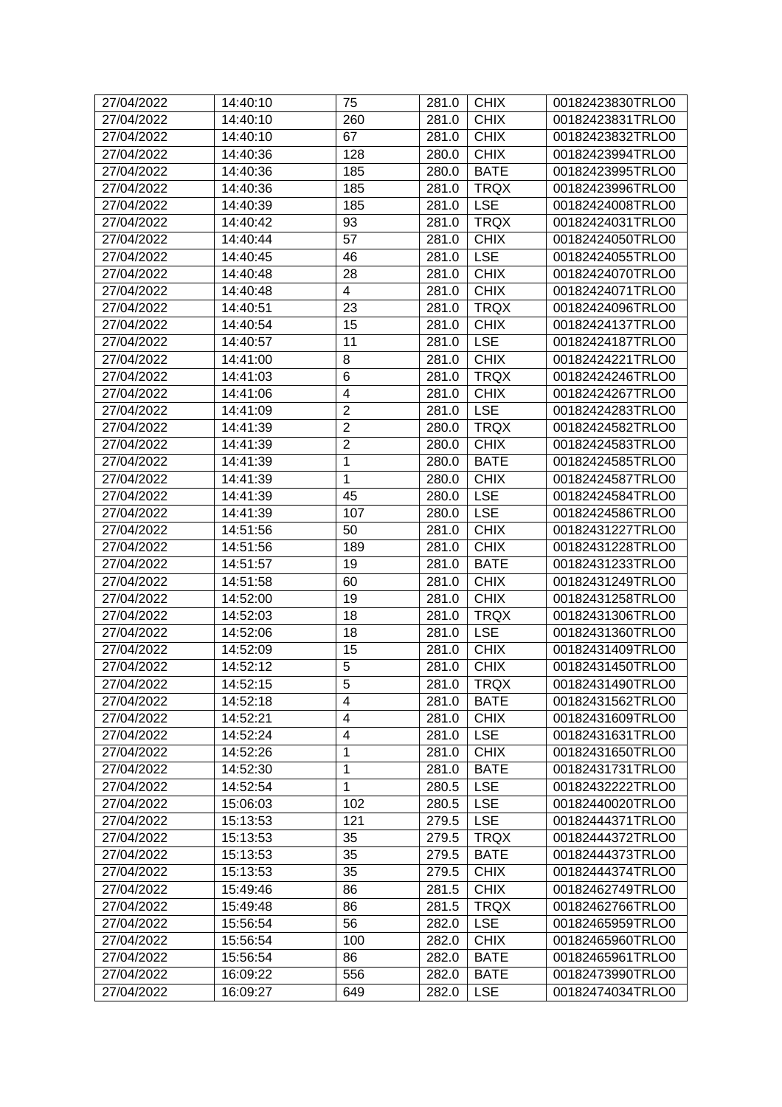| 27/04/2022 | 14:40:10 | 75                       | 281.0 | <b>CHIX</b> | 00182423830TRLO0 |
|------------|----------|--------------------------|-------|-------------|------------------|
| 27/04/2022 | 14:40:10 | 260                      | 281.0 | <b>CHIX</b> | 00182423831TRLO0 |
| 27/04/2022 | 14:40:10 | 67                       | 281.0 | <b>CHIX</b> | 00182423832TRLO0 |
| 27/04/2022 | 14:40:36 | 128                      | 280.0 | <b>CHIX</b> | 00182423994TRLO0 |
| 27/04/2022 | 14:40:36 | 185                      | 280.0 | <b>BATE</b> | 00182423995TRLO0 |
| 27/04/2022 | 14:40:36 | 185                      | 281.0 | <b>TRQX</b> | 00182423996TRLO0 |
| 27/04/2022 | 14:40:39 | 185                      | 281.0 | <b>LSE</b>  | 00182424008TRLO0 |
| 27/04/2022 | 14:40:42 | 93                       | 281.0 | <b>TRQX</b> | 00182424031TRLO0 |
| 27/04/2022 | 14:40:44 | 57                       | 281.0 | <b>CHIX</b> | 00182424050TRLO0 |
| 27/04/2022 | 14:40:45 | 46                       | 281.0 | <b>LSE</b>  | 00182424055TRLO0 |
| 27/04/2022 | 14:40:48 | 28                       | 281.0 | <b>CHIX</b> | 00182424070TRLO0 |
| 27/04/2022 | 14:40:48 | $\overline{\mathcal{A}}$ | 281.0 | <b>CHIX</b> | 00182424071TRLO0 |
| 27/04/2022 | 14:40:51 | 23                       | 281.0 | <b>TRQX</b> | 00182424096TRLO0 |
| 27/04/2022 | 14:40:54 | 15                       | 281.0 | <b>CHIX</b> | 00182424137TRLO0 |
| 27/04/2022 | 14:40:57 | 11                       | 281.0 | <b>LSE</b>  | 00182424187TRLO0 |
| 27/04/2022 | 14:41:00 | 8                        | 281.0 | <b>CHIX</b> | 00182424221TRLO0 |
| 27/04/2022 | 14:41:03 | 6                        | 281.0 | <b>TRQX</b> | 00182424246TRLO0 |
| 27/04/2022 | 14:41:06 | $\overline{\mathbf{4}}$  | 281.0 | <b>CHIX</b> | 00182424267TRLO0 |
| 27/04/2022 | 14:41:09 | $\overline{2}$           | 281.0 | <b>LSE</b>  | 00182424283TRLO0 |
| 27/04/2022 | 14:41:39 | $\overline{2}$           | 280.0 | <b>TRQX</b> | 00182424582TRLO0 |
| 27/04/2022 | 14:41:39 | $\overline{2}$           | 280.0 | <b>CHIX</b> | 00182424583TRLO0 |
| 27/04/2022 | 14:41:39 | 1                        | 280.0 | <b>BATE</b> | 00182424585TRLO0 |
| 27/04/2022 | 14:41:39 | 1                        | 280.0 | <b>CHIX</b> | 00182424587TRLO0 |
| 27/04/2022 | 14:41:39 | 45                       | 280.0 | <b>LSE</b>  | 00182424584TRLO0 |
| 27/04/2022 | 14:41:39 | 107                      | 280.0 | <b>LSE</b>  | 00182424586TRLO0 |
| 27/04/2022 | 14:51:56 | 50                       | 281.0 | <b>CHIX</b> | 00182431227TRLO0 |
| 27/04/2022 | 14:51:56 | 189                      | 281.0 | <b>CHIX</b> | 00182431228TRLO0 |
| 27/04/2022 | 14:51:57 | 19                       | 281.0 | <b>BATE</b> | 00182431233TRLO0 |
| 27/04/2022 | 14:51:58 | 60                       | 281.0 | <b>CHIX</b> | 00182431249TRLO0 |
| 27/04/2022 | 14:52:00 | 19                       | 281.0 | <b>CHIX</b> | 00182431258TRLO0 |
| 27/04/2022 | 14:52:03 | 18                       | 281.0 | <b>TRQX</b> | 00182431306TRLO0 |
| 27/04/2022 | 14:52:06 | 18                       | 281.0 | <b>LSE</b>  | 00182431360TRLO0 |
| 27/04/2022 | 14:52:09 | 15                       | 281.0 | <b>CHIX</b> | 00182431409TRLO0 |
| 27/04/2022 | 14:52:12 | 5                        | 281.0 | <b>CHIX</b> | 00182431450TRLO0 |
| 27/04/2022 | 14:52:15 | 5                        | 281.0 | <b>TRQX</b> | 00182431490TRLO0 |
| 27/04/2022 | 14:52:18 | 4                        | 281.0 | <b>BATE</b> | 00182431562TRLO0 |
| 27/04/2022 | 14:52:21 | 4                        | 281.0 | <b>CHIX</b> | 00182431609TRLO0 |
| 27/04/2022 | 14:52:24 | 4                        | 281.0 | <b>LSE</b>  | 00182431631TRLO0 |
| 27/04/2022 | 14:52:26 | $\mathbf{1}$             | 281.0 | <b>CHIX</b> | 00182431650TRLO0 |
| 27/04/2022 | 14:52:30 | 1                        | 281.0 | <b>BATE</b> | 00182431731TRLO0 |
| 27/04/2022 | 14:52:54 | 1                        | 280.5 | <b>LSE</b>  | 00182432222TRLO0 |
| 27/04/2022 | 15:06:03 | 102                      | 280.5 | <b>LSE</b>  | 00182440020TRLO0 |
| 27/04/2022 | 15:13:53 | 121                      | 279.5 | <b>LSE</b>  | 00182444371TRLO0 |
| 27/04/2022 | 15:13:53 | 35                       | 279.5 | <b>TRQX</b> | 00182444372TRLO0 |
| 27/04/2022 | 15:13:53 | 35                       | 279.5 | <b>BATE</b> | 00182444373TRLO0 |
| 27/04/2022 | 15:13:53 | 35                       | 279.5 | <b>CHIX</b> | 00182444374TRLO0 |
| 27/04/2022 | 15:49:46 | 86                       | 281.5 | <b>CHIX</b> | 00182462749TRLO0 |
| 27/04/2022 | 15:49:48 | 86                       | 281.5 | <b>TRQX</b> | 00182462766TRLO0 |
| 27/04/2022 | 15:56:54 | 56                       | 282.0 | <b>LSE</b>  | 00182465959TRLO0 |
| 27/04/2022 | 15:56:54 | 100                      | 282.0 | <b>CHIX</b> | 00182465960TRLO0 |
| 27/04/2022 | 15:56:54 | 86                       | 282.0 | <b>BATE</b> | 00182465961TRLO0 |
| 27/04/2022 | 16:09:22 | 556                      | 282.0 | <b>BATE</b> | 00182473990TRLO0 |
| 27/04/2022 | 16:09:27 | 649                      | 282.0 | <b>LSE</b>  | 00182474034TRLO0 |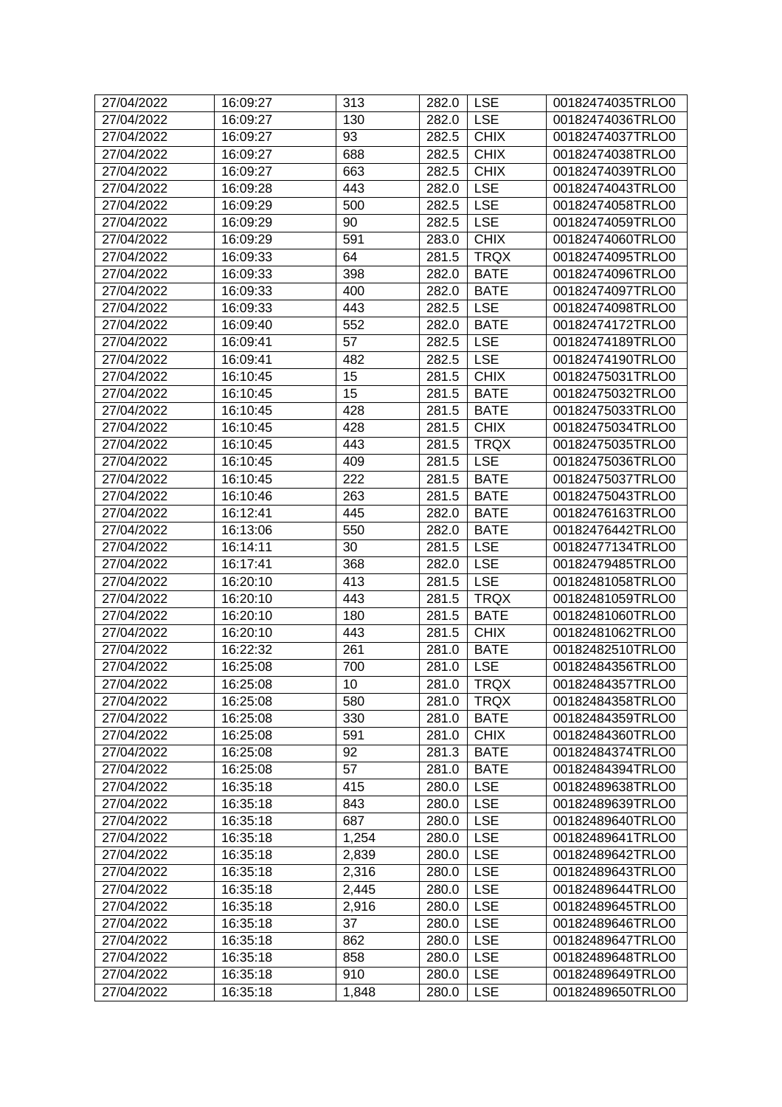| 27/04/2022 | 16:09:27 | 313   | 282.0 | <b>LSE</b>  | 00182474035TRLO0 |
|------------|----------|-------|-------|-------------|------------------|
| 27/04/2022 | 16:09:27 | 130   | 282.0 | <b>LSE</b>  | 00182474036TRLO0 |
| 27/04/2022 | 16:09:27 | 93    | 282.5 | <b>CHIX</b> | 00182474037TRLO0 |
| 27/04/2022 | 16:09:27 | 688   | 282.5 | <b>CHIX</b> | 00182474038TRLO0 |
| 27/04/2022 | 16:09:27 | 663   | 282.5 | <b>CHIX</b> | 00182474039TRLO0 |
| 27/04/2022 | 16:09:28 | 443   | 282.0 | <b>LSE</b>  | 00182474043TRLO0 |
| 27/04/2022 | 16:09:29 | 500   | 282.5 | <b>LSE</b>  | 00182474058TRLO0 |
| 27/04/2022 | 16:09:29 | 90    | 282.5 | <b>LSE</b>  | 00182474059TRLO0 |
| 27/04/2022 | 16:09:29 | 591   | 283.0 | <b>CHIX</b> | 00182474060TRLO0 |
| 27/04/2022 | 16:09:33 | 64    | 281.5 | <b>TRQX</b> | 00182474095TRLO0 |
| 27/04/2022 | 16:09:33 | 398   | 282.0 | <b>BATE</b> | 00182474096TRLO0 |
| 27/04/2022 | 16:09:33 | 400   | 282.0 | <b>BATE</b> | 00182474097TRLO0 |
| 27/04/2022 | 16:09:33 | 443   | 282.5 | <b>LSE</b>  | 00182474098TRLO0 |
| 27/04/2022 | 16:09:40 | 552   | 282.0 | <b>BATE</b> | 00182474172TRLO0 |
| 27/04/2022 | 16:09:41 | 57    | 282.5 | <b>LSE</b>  | 00182474189TRLO0 |
| 27/04/2022 | 16:09:41 | 482   | 282.5 | <b>LSE</b>  | 00182474190TRLO0 |
| 27/04/2022 | 16:10:45 | 15    | 281.5 | <b>CHIX</b> | 00182475031TRLO0 |
| 27/04/2022 | 16:10:45 | 15    | 281.5 | <b>BATE</b> | 00182475032TRLO0 |
| 27/04/2022 | 16:10:45 | 428   | 281.5 | <b>BATE</b> | 00182475033TRLO0 |
| 27/04/2022 | 16:10:45 | 428   | 281.5 | <b>CHIX</b> | 00182475034TRLO0 |
| 27/04/2022 | 16:10:45 | 443   | 281.5 | <b>TRQX</b> | 00182475035TRLO0 |
| 27/04/2022 | 16:10:45 | 409   | 281.5 | <b>LSE</b>  | 00182475036TRLO0 |
| 27/04/2022 | 16:10:45 | 222   | 281.5 | <b>BATE</b> | 00182475037TRLO0 |
| 27/04/2022 | 16:10:46 | 263   | 281.5 | <b>BATE</b> | 00182475043TRLO0 |
| 27/04/2022 | 16:12:41 | 445   | 282.0 | <b>BATE</b> |                  |
|            |          |       |       |             | 00182476163TRLO0 |
| 27/04/2022 | 16:13:06 | 550   | 282.0 | <b>BATE</b> | 00182476442TRLO0 |
| 27/04/2022 | 16:14:11 | 30    | 281.5 | <b>LSE</b>  | 00182477134TRLO0 |
| 27/04/2022 | 16:17:41 | 368   | 282.0 | <b>LSE</b>  | 00182479485TRLO0 |
| 27/04/2022 | 16:20:10 | 413   | 281.5 | <b>LSE</b>  | 00182481058TRLO0 |
| 27/04/2022 | 16:20:10 | 443   | 281.5 | <b>TRQX</b> | 00182481059TRLO0 |
| 27/04/2022 | 16:20:10 | 180   | 281.5 | <b>BATE</b> | 00182481060TRLO0 |
| 27/04/2022 | 16:20:10 | 443   | 281.5 | <b>CHIX</b> | 00182481062TRLO0 |
| 27/04/2022 | 16:22:32 | 261   | 281.0 | <b>BATE</b> | 00182482510TRLO0 |
| 27/04/2022 | 16:25:08 | 700   | 281.0 | <b>LSE</b>  | 00182484356TRLO0 |
| 27/04/2022 | 16:25:08 | 10    | 281.0 | <b>TRQX</b> | 00182484357TRLO0 |
| 27/04/2022 | 16:25:08 | 580   | 281.0 | <b>TRQX</b> | 00182484358TRLO0 |
| 27/04/2022 | 16:25:08 | 330   | 281.0 | <b>BATE</b> | 00182484359TRLO0 |
| 27/04/2022 | 16:25:08 | 591   | 281.0 | <b>CHIX</b> | 00182484360TRLO0 |
| 27/04/2022 | 16:25:08 | 92    | 281.3 | <b>BATE</b> | 00182484374TRLO0 |
| 27/04/2022 | 16:25:08 | 57    | 281.0 | <b>BATE</b> | 00182484394TRLO0 |
| 27/04/2022 | 16:35:18 | 415   | 280.0 | <b>LSE</b>  | 00182489638TRLO0 |
| 27/04/2022 | 16:35:18 | 843   | 280.0 | <b>LSE</b>  | 00182489639TRLO0 |
| 27/04/2022 | 16:35:18 | 687   | 280.0 | <b>LSE</b>  | 00182489640TRLO0 |
| 27/04/2022 | 16:35:18 | 1,254 | 280.0 | <b>LSE</b>  | 00182489641TRLO0 |
| 27/04/2022 | 16:35:18 | 2,839 | 280.0 | <b>LSE</b>  | 00182489642TRLO0 |
| 27/04/2022 | 16:35:18 | 2,316 | 280.0 | <b>LSE</b>  | 00182489643TRLO0 |
| 27/04/2022 | 16:35:18 | 2,445 | 280.0 | <b>LSE</b>  | 00182489644TRLO0 |
| 27/04/2022 | 16:35:18 | 2,916 | 280.0 | <b>LSE</b>  | 00182489645TRLO0 |
| 27/04/2022 | 16:35:18 | 37    | 280.0 | <b>LSE</b>  | 00182489646TRLO0 |
| 27/04/2022 | 16:35:18 | 862   | 280.0 | <b>LSE</b>  | 00182489647TRLO0 |
| 27/04/2022 | 16:35:18 | 858   | 280.0 | <b>LSE</b>  | 00182489648TRLO0 |
| 27/04/2022 | 16:35:18 | 910   | 280.0 | <b>LSE</b>  | 00182489649TRLO0 |
| 27/04/2022 | 16:35:18 | 1,848 | 280.0 | <b>LSE</b>  | 00182489650TRLO0 |
|            |          |       |       |             |                  |